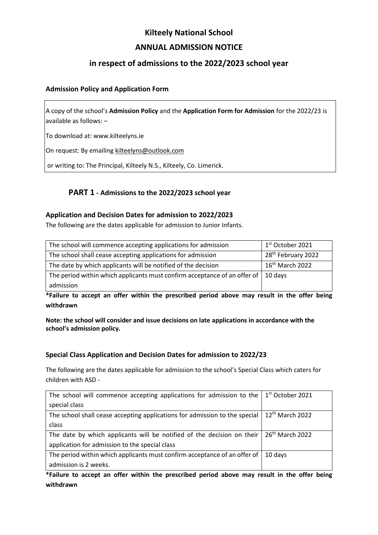# **Kilteely National School ANNUAL ADMISSION NOTICE**

## **in respect of admissions to the 2022/2023 school year**

#### **Admission Policy and Application Form**

A copy of the school's **Admission Policy** and the **Application Form for Admission** for the 2022/23 is available as follows: –

To download at: www.kilteelyns.ie

On request: By emailing [kilteelyns@outlook.com](mailto:kilteelyns@outlook.com)

or writing to: The Principal, Kilteely N.S., Kilteely, Co. Limerick.

### **PART 1 - Admissions to the 2022/2023 school year**

#### **Application and Decision Dates for admission to 2022/2023**

The following are the dates applicable for admission to Junior Infants.

| The school will commence accepting applications for admission                       | 1 <sup>st</sup> October 2021   |
|-------------------------------------------------------------------------------------|--------------------------------|
| The school shall cease accepting applications for admission                         | 28 <sup>th</sup> February 2022 |
| The date by which applicants will be notified of the decision                       | 16 <sup>th</sup> March 2022    |
| The period within which applicants must confirm acceptance of an offer of   10 days |                                |
| admission                                                                           |                                |

**\*Failure to accept an offer within the prescribed period above may result in the offer being withdrawn**

**Note: the school will consider and issue decisions on late applications in accordance with the school's admission policy.**

#### **Special Class Application and Decision Dates for admission to 2022/23**

The following are the dates applicable for admission to the school's Special Class which caters for children with ASD -

| The school will commence accepting applications for admission to the $\frac{1}{1}$ ast October 2021 |                   |
|-----------------------------------------------------------------------------------------------------|-------------------|
| special class                                                                                       |                   |
| The school shall cease accepting applications for admission to the special                          | $12th$ March 2022 |
| class                                                                                               |                   |
| The date by which applicants will be notified of the decision on their $\int 26^{th}$ March 2022    |                   |
| application for admission to the special class                                                      |                   |
| The period within which applicants must confirm acceptance of an offer of                           | 10 days           |
| admission is 2 weeks.                                                                               |                   |

**\*Failure to accept an offer within the prescribed period above may result in the offer being withdrawn**